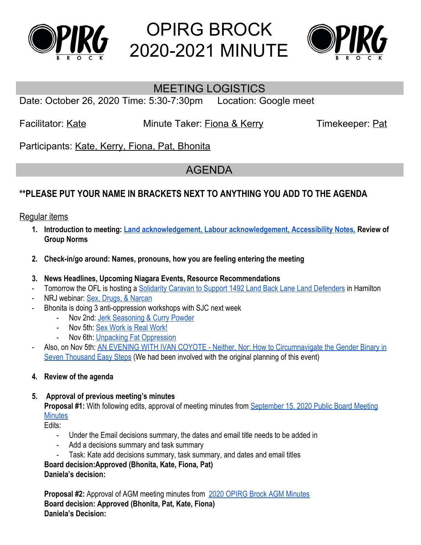



### MEETING LOGISTICS

Date: October 26, 2020 Time: 5:30-7:30pm Location: Google meet

Facilitator: Kate Minute Taker: Fiona & Kerry Timekeeper: Pat

Participants: Kate, Kerry, Fiona, Pat, Bhonita

### AGENDA

### **\*\*PLEASE PUT YOUR NAME IN BRACKETS NEXT TO ANYTHING YOU ADD TO THE AGENDA**

### Regular items

- **1. Introduction to meeting: [Land acknowledgement, Labour acknowledgement, Accessibility Notes,](https://docs.google.com/document/u/1/d/1oq5QTQxiHg-sc3RS-rfF2ow0I8FZIC1TM6Ch9_1rR5E/edit) Review of Group Norms**
- **2. Check-in/go around: Names, pronouns, how you are feeling entering the meeting**
- **3. News Headlines, Upcoming Niagara Events, Resource Recommendations**
- Tomorrow the OFL is hosting a [Solidarity Caravan to Support 1492 Land Back Lane Land Defenders](https://www.powerofmany.ca/solidarity_actions_to_support_1492_land_defenders) in Hamilton
- NRJ webinar: [Sex, Drugs, & Narcan](https://www.eventbrite.ca/e/sex-drugs-and-narcan-20-tickets-126120625185?fbclid=IwAR0qhBQev3hQNagvPShEGXZNZsdw4-VcgdaCioK_Z35CYtqN7J7nddo16QU)
- Bhonita is doing 3 anti-oppression workshops with SJC next week
	- Nov 2nd: [Jerk Seasoning & Curry Powder](https://www.facebook.com/events/386974949004450/)
	- Nov 5th: [Sex Work is Real Work!](https://www.facebook.com/events/2779401139046138/)
	- Nov 6th: [Unpacking Fat Oppression](https://www.facebook.com/events/360962901811369/)
- Also, on Nov 5th: [AN EVENING WITH IVAN COYOTE Neither, Nor: How to Circumnavigate the Gender Binary in](https://www.facebook.com/events/261192061965315) [Seven Thousand Easy Steps](https://www.facebook.com/events/261192061965315) (We had been involved with the original planning of this event)
- **4. Review of the agenda**

### **5. Approval of previous meeting's minutes**

**Proposal #1:** With following edits, approval of meeting minutes from [September 15, 2020 Public Board Meeting](https://docs.google.com/document/d/1MDb3XUr7SMx0WCaOnpAf-x8BCVxyrkH0VDaGirg-2CA/edit) **[Minutes](https://docs.google.com/document/d/1MDb3XUr7SMx0WCaOnpAf-x8BCVxyrkH0VDaGirg-2CA/edit)** 

Edits:

- Under the Email decisions summary, the dates and email title needs to be added in
- Add a decisions summary and task summary
- Task: Kate add decisions summary, task summary, and dates and email titles

**Board decision:Approved (Bhonita, Kate, Fiona, Pat)**

#### **Daniela's decision:**

**Proposal #2:** Approval of AGM meeting minutes from [2020 OPIRG Brock AGM Minutes](https://docs.google.com/document/d/1AfjrhdfkYtXeoJfXaxbnLUmyyOacFbLc3_K9ya0BJxI/edit) **Board decision: Approved (Bhonita, Pat, Kate, Fiona) Daniela's Decision:**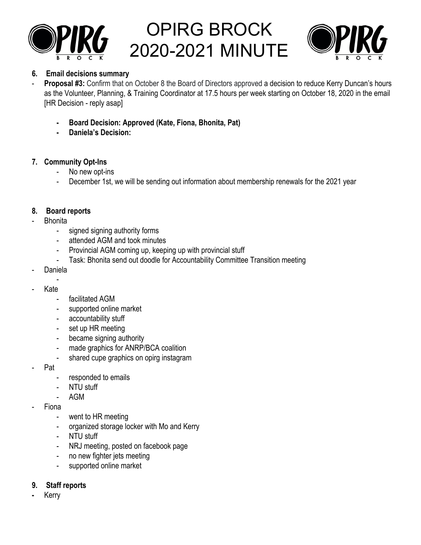



#### **6. Email decisions summary**

- **Proposal #3:** Confirm that on October 8 the Board of Directors approved a decision to reduce Kerry Duncan's hours as the Volunteer, Planning, & Training Coordinator at 17.5 hours per week starting on October 18, 2020 in the email [HR Decision - reply asap]
	- **- Board Decision: Approved (Kate, Fiona, Bhonita, Pat)**
	- **- Daniela's Decision:**

### **7. Community Opt-Ins**

- No new opt-ins
- December 1st, we will be sending out information about membership renewals for the 2021 year

#### **8. Board reports**

- **Bhonita** 
	- signed signing authority forms
	- attended AGM and took minutes
	- Provincial AGM coming up, keeping up with provincial stuff
	- Task: Bhonita send out doodle for Accountability Committee Transition meeting
- **Daniela**

-

### - Kate

- facilitated AGM
- supported online market
- accountability stuff
- set up HR meeting
- became signing authority
- made graphics for ANRP/BCA coalition
- shared cupe graphics on opirg instagram
- Pat
	- responded to emails
	- NTU stuff
	- AGM
- **Fiona** 
	- went to HR meeting
	- organized storage locker with Mo and Kerry
	- NTU stuff
	- NRJ meeting, posted on facebook page
	- no new fighter jets meeting
	- supported online market

### **9. Staff reports**

**-** Kerry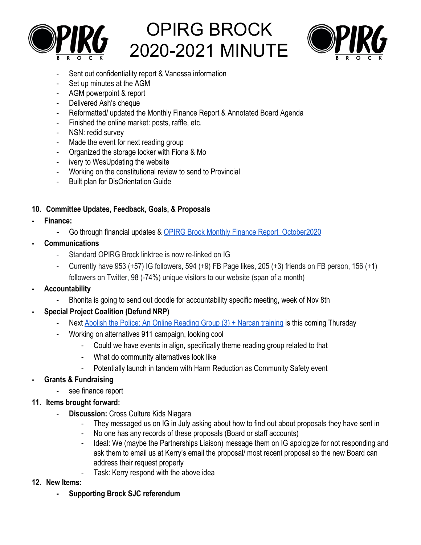



- Sent out confidentiality report & Vanessa information
- Set up minutes at the AGM
- AGM powerpoint & report
- Delivered Ash's cheque
- Reformatted/ updated the Monthly Finance Report & Annotated Board Agenda
- Finished the online market: posts, raffle, etc.
- NSN: redid survey
- Made the event for next reading group
- Organized the storage locker with Fiona & Mo
- ivery to WesUpdating the website
- Working on the constitutional review to send to Provincial
- Built plan for DisOrientation Guide

### **10. Committee Updates, Feedback, Goals, & Proposals**

- **- Finance:**
	- Go through financial updates & [OPIRG Brock Monthly Finance Report\\_October2020](https://docs.google.com/document/d/14DO283Fe84v6CjBNCBWoVHSH0PpVA9xcWmSKvbAzQs0/edit#heading=h.4qjbap2vz6e4)
- **- Communications**
	- Standard OPIRG Brock linktree is now re-linked on IG
	- Currently have  $953$  (+57) IG followers, 594 (+9) FB Page likes, 205 (+3) friends on FB person, 156 (+1) followers on Twitter, 98 (-74%) unique visitors to our website (span of a month)
- **- Accountability**
	- Bhonita is going to send out doodle for accountability specific meeting, week of Nov 8th
- **- Special Project Coalition (Defund NRP)**
	- Next [Abolish the Police: An Online Reading Group \(3\) + Narcan training](https://www.facebook.com/events/1081573742261476) is this coming Thursday
	- Working on alternatives 911 campaign, looking cool
		- Could we have events in align, specifically theme reading group related to that
		- What do community alternatives look like
		- Potentially launch in tandem with Harm Reduction as Community Safety event
- **- Grants & Fundraising**
	- see finance report
- **11. Items brought forward:**
	- **Discussion:** Cross Culture Kids Niagara
		- They messaged us on IG in July asking about how to find out about proposals they have sent in
		- No one has any records of these proposals (Board or staff accounts)
		- Ideal: We (maybe the Partnerships Liaison) message them on IG apologize for not responding and ask them to email us at Kerry's email the proposal/ most recent proposal so the new Board can address their request properly
		- Task: Kerry respond with the above idea
- **12. New Items:**
	- **- Supporting Brock SJC referendum**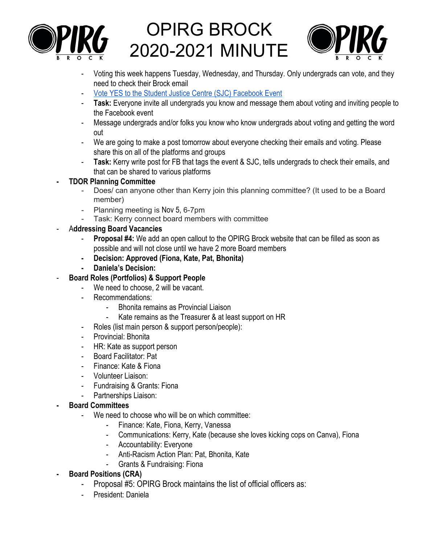



- Voting this week happens Tuesday, Wednesday, and Thursday. Only undergrads can vote, and they need to check their Brock email
- [Vote YES to the Student Justice Centre \(SJC\) Facebook Event](https://www.facebook.com/events/368264651185806/)
- **Task:** Everyone invite all undergrads you know and message them about voting and inviting people to the Facebook event
- Message undergrads and/or folks you know who know undergrads about voting and getting the word out
- We are going to make a post tomorrow about everyone checking their emails and voting. Please share this on all of the platforms and groups
- Task: Kerry write post for FB that tags the event & SJC, tells undergrads to check their emails, and that can be shared to various platforms
- **- TDOR Planning Committee**
	- Does/ can anyone other than Kerry join this planning committee? (It used to be a Board member)
	- Planning meeting is Nov 5, 6-7pm
	- Task: Kerry connect board members with committee
- A**ddressing Board Vacancies**
	- **Proposal #4:** We add an open callout to the OPIRG Brock website that can be filled as soon as possible and will not close until we have 2 more Board members
	- **- Decision: Approved (Fiona, Kate, Pat, Bhonita)**
	- **- Daniela's Decision:**
- **Board Roles (Portfolios) & Support People**
	- We need to choose, 2 will be vacant.
	- Recommendations:
		- Bhonita remains as Provincial Liaison
		- Kate remains as the Treasurer & at least support on HR
		- Roles (list main person & support person/people):
	- Provincial: Bhonita
	- HR: Kate as support person
	- Board Facilitator: Pat
	- Finance: Kate & Fiona
	- Volunteer Liaison:
	- Fundraising & Grants: Fiona
	- Partnerships Liaison:

### **- Board Committees**

- We need to choose who will be on which committee:
	- Finance: Kate, Fiona, Kerry, Vanessa
	- Communications: Kerry, Kate (because she loves kicking cops on Canva), Fiona
	- Accountability: Everyone
	- Anti-Racism Action Plan: Pat, Bhonita, Kate
	- Grants & Fundraising: Fiona
- **- Board Positions (CRA)**
	- Proposal #5: OPIRG Brock maintains the list of official officers as:
	- President: Daniela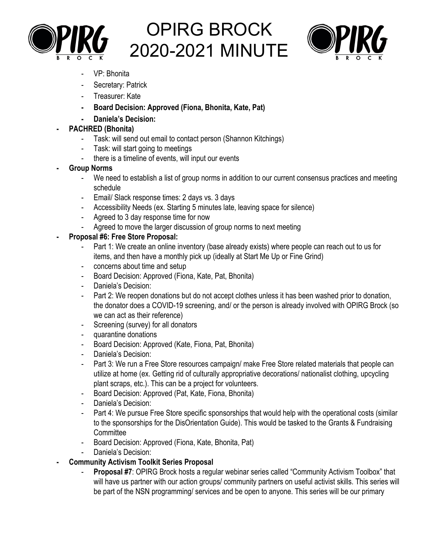



- VP: Bhonita
- Secretary: Patrick
- Treasurer: Kate
- **- Board Decision: Approved (Fiona, Bhonita, Kate, Pat)**
- **- Daniela's Decision:**

### **- PACHRED (Bhonita)**

- Task: will send out email to contact person (Shannon Kitchings)
- Task: will start going to meetings
- there is a timeline of events, will input our events

### **- Group Norms**

- We need to establish a list of group norms in addition to our current consensus practices and meeting schedule
- Email/ Slack response times: 2 days vs. 3 days
- Accessibility Needs (ex. Starting 5 minutes late, leaving space for silence)
- Agreed to 3 day response time for now
- Agreed to move the larger discussion of group norms to next meeting

### **- Proposal #6: Free Store Proposal:**

- Part 1: We create an online inventory (base already exists) where people can reach out to us for items, and then have a monthly pick up (ideally at Start Me Up or Fine Grind)
- concerns about time and setup
- Board Decision: Approved (Fiona, Kate, Pat, Bhonita)
- Daniela's Decision:
- Part 2: We reopen donations but do not accept clothes unless it has been washed prior to donation, the donator does a COVID-19 screening, and/ or the person is already involved with OPIRG Brock (so we can act as their reference)
- Screening (survey) for all donators
- quarantine donations
- Board Decision: Approved (Kate, Fiona, Pat, Bhonita)
- Daniela's Decision:
- Part 3: We run a Free Store resources campaign/ make Free Store related materials that people can utilize at home (ex. Getting rid of culturally appropriative decorations/ nationalist clothing, upcycling plant scraps, etc.). This can be a project for volunteers.
- Board Decision: Approved (Pat, Kate, Fiona, Bhonita)
- Daniela's Decision:
- Part 4: We pursue Free Store specific sponsorships that would help with the operational costs (similar to the sponsorships for the DisOrientation Guide). This would be tasked to the Grants & Fundraising **Committee**
- Board Decision: Approved (Fiona, Kate, Bhonita, Pat)
- Daniela's Decision:
- **- Community Activism Toolkit Series Proposal**
	- Proposal #7: OPIRG Brock hosts a regular webinar series called "Community Activism Toolbox" that will have us partner with our action groups/ community partners on useful activist skills. This series will be part of the NSN programming/ services and be open to anyone. This series will be our primary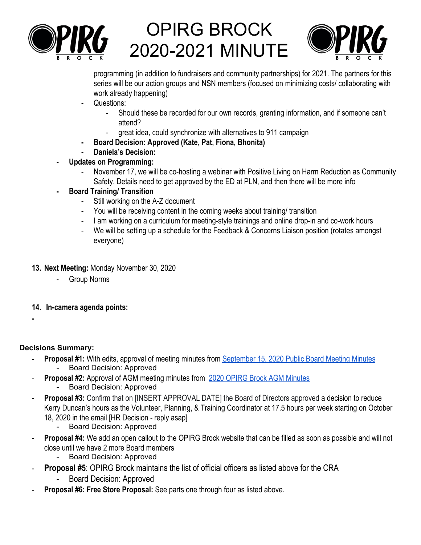



programming (in addition to fundraisers and community partnerships) for 2021. The partners for this series will be our action groups and NSN members (focused on minimizing costs/ collaborating with work already happening)

- Questions:
	- Should these be recorded for our own records, granting information, and if someone can't attend?
	- great idea, could synchronize with alternatives to 911 campaign
- **- Board Decision: Approved (Kate, Pat, Fiona, Bhonita)**
- **- Daniela's Decision:**
- **- Updates on Programming:**
	- November 17, we will be co-hosting a webinar with Positive Living on Harm Reduction as Community Safety. Details need to get approved by the ED at PLN, and then there will be more info
- **- Board Training/ Transition**
	- Still working on the A-Z document
	- You will be receiving content in the coming weeks about training/ transition
	- I am working on a curriculum for meeting-style trainings and online drop-in and co-work hours
	- We will be setting up a schedule for the Feedback & Concerns Liaison position (rotates amongst everyone)
- **13. Next Meeting:** Monday November 30, 2020
	- Group Norms
- **14. In-camera agenda points:**
- **-**

### **Decisions Summary:**

- **Proposal #1:** With edits, approval of meeting minutes from [September 15, 2020 Public Board Meeting Minutes](https://docs.google.com/document/d/1MDb3XUr7SMx0WCaOnpAf-x8BCVxyrkH0VDaGirg-2CA/edit)
	- Board Decision: Approved
- **Proposal #2:** Approval of AGM meeting minutes from [2020 OPIRG Brock AGM Minutes](https://docs.google.com/document/d/1AfjrhdfkYtXeoJfXaxbnLUmyyOacFbLc3_K9ya0BJxI/edit)
	- Board Decision: Approved
- **Proposal #3:** Confirm that on [INSERT APPROVAL DATE] the Board of Directors approved a decision to reduce Kerry Duncan's hours as the Volunteer, Planning, & Training Coordinator at 17.5 hours per week starting on October 18, 2020 in the email [HR Decision - reply asap]
	- Board Decision: Approved
- **Proposal #4:** We add an open callout to the OPIRG Brock website that can be filled as soon as possible and will not close until we have 2 more Board members
	- Board Decision: Approved
- **Proposal #5: OPIRG Brock maintains the list of official officers as listed above for the CRA** 
	- Board Decision: Approved
- **Proposal #6: Free Store Proposal:** See parts one through four as listed above.